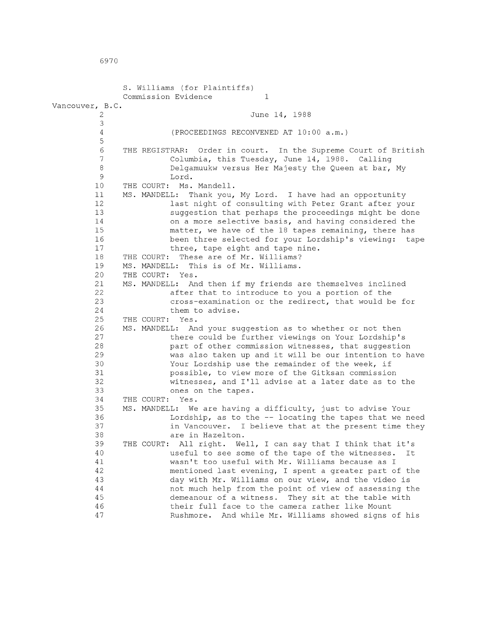```
Vancouver, B.C.
          2 
          3 
          4 
          5 
          6 
          7 
          8 
          9 
         10 
         11 
         12 
         13 
         14 
         15 
         16 
         17 
         18 
         19 
         20 
         21 
         22 
         23 
         24 
         25 
         26 
         27 
         28 
         29 
         30 
         31 
         32 
         33 
         34 
         35 
         36 
         37 
         38 
         39 
         40 
         41 
         42 
         43 
         44 
         45 
         46 
         47 
                S. Williams (for Plaintiffs) 
                Commission Evidence 1
                                            June 14, 1988 
                          (PROCEEDINGS RECONVENED AT 10:00 a.m.) 
               THE REGISTRAR: Order in court. In the Supreme Court of British 
                          Columbia, this Tuesday, June 14, 1988. Calling 
                          Delgamuukw versus Her Majesty the Queen at bar, My 
                          Lord. 
               THE COURT: Ms. Mandell.
               MS. MANDELL: Thank you, My Lord. I have had an opportunity 
                          last night of consulting with Peter Grant after your 
                          suggestion that perhaps the proceedings might be done 
                          on a more selective basis, and having considered the 
                          matter, we have of the 18 tapes remaining, there has 
                          been three selected for your Lordship's viewing: tape 
                          three, tape eight and tape nine. 
               THE COURT: These are of Mr. Williams? 
               MS. MANDELL: This is of Mr. Williams. 
               THE COURT: Yes. 
               MS. MANDELL: And then if my friends are themselves inclined 
                          after that to introduce to you a portion of the 
                          cross-examination or the redirect, that would be for 
                          them to advise. 
               THE COURT: Yes. 
               MS. MANDELL: And your suggestion as to whether or not then 
                          there could be further viewings on Your Lordship's 
                          part of other commission witnesses, that suggestion 
                          was also taken up and it will be our intention to have 
                          Your Lordship use the remainder of the week, if 
                          possible, to view more of the Gitksan commission 
                          witnesses, and I'll advise at a later date as to the 
                          ones on the tapes. 
               THE COURT: Yes. 
               MS. MANDELL: We are having a difficulty, just to advise Your 
                          Lordship, as to the -- locating the tapes that we need
                          in Vancouver. I believe that at the present time they 
                          are in Hazelton. 
               THE COURT: All right. Well, I can say that I think that it's 
                          useful to see some of the tape of the witnesses. It 
                          wasn't too useful with Mr. Williams because as I 
                          mentioned last evening, I spent a greater part of the 
                          day with Mr. Williams on our view, and the video is 
                          not much help from the point of view of assessing the 
                          demeanour of a witness. They sit at the table with 
                          their full face to the camera rather like Mount 
                          Rushmore. And while Mr. Williams showed signs of his
```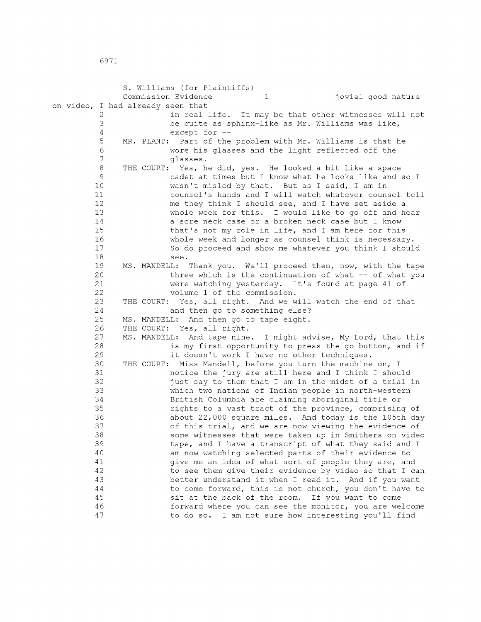S. Williams (for Plaintiffs) Commission Evidence 1 1 is invited qood nature on video, I had already seen that 2 in real life. It may be that other witnesses will not 3 be quite as sphinx-like as Mr. Williams was like, 4 except for -- 5 MR. PLANT: Part of the problem with Mr. Williams is that he 6 wore his glasses and the light reflected off the 7 glasses. 8 THE COURT: Yes, he did, yes. He looked a bit like a space 9 cadet at times but I know what he looks like and so I 10 wasn't misled by that. But as I said, I am in 11 counsel's hands and I will watch whatever counsel tell 12 me they think I should see, and I have set aside a 13 whole week for this. I would like to go off and hear 14 a sore neck case or a broken neck case but I know 15 that's not my role in life, and I am here for this 16 whole week and longer as counsel think is necessary. 17 So do proceed and show me whatever you think I should 18 see. 19 MS. MANDELL: Thank you. We'll proceed then, now, with the tape 20 three which is the continuation of what -- of what you 21 were watching yesterday. It's found at page 41 of 22 volume 1 of the commission. 23 THE COURT: Yes, all right. And we will watch the end of that 24 and then go to something else? 25 MS. MANDELL: And then go to tape eight. 26 THE COURT: Yes, all right. 27 MS. MANDELL: And tape nine. I might advise, My Lord, that this 28 is my first opportunity to press the go button, and if 29 it doesn't work I have no other techniques. 30 THE COURT: Miss Mandell, before you turn the machine on, I 31 notice the jury are still here and I think I should 32 just say to them that I am in the midst of a trial in 33 which two nations of Indian people in north-western 34 British Columbia are claiming aboriginal title or 35 rights to a vast tract of the province, comprising of 36 about 22,000 square miles. And today is the 105th day 37 of this trial, and we are now viewing the evidence of 38 some witnesses that were taken up in Smithers on video 39 tape, and I have a transcript of what they said and I 40 am now watching selected parts of their evidence to 41 give me an idea of what sort of people they are, and 42 to see them give their evidence by video so that I can 43 better understand it when I read it. And if you want 44 to come forward, this is not church, you don't have to 45 sit at the back of the room. If you want to come 46 forward where you can see the monitor, you are welcome 47 to do so. I am not sure how interesting you'll find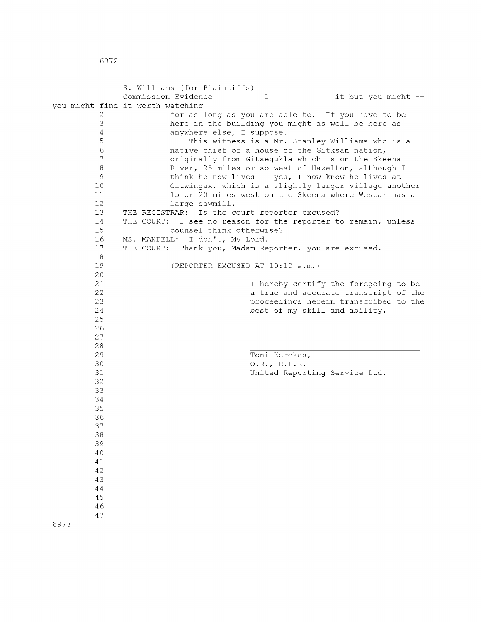|                  | S. Williams (for Plaintiffs)                                  |                               |                                                       |
|------------------|---------------------------------------------------------------|-------------------------------|-------------------------------------------------------|
|                  | Commission Evidence                                           | $\mathbf 1$                   | it but you might --                                   |
|                  | you might find it worth watching                              |                               |                                                       |
| 2                |                                                               |                               | for as long as you are able to. If you have to be     |
| 3                | here in the building you might as well be here as             |                               |                                                       |
| 4                | anywhere else, I suppose.                                     |                               |                                                       |
| 5                |                                                               |                               | This witness is a Mr. Stanley Williams who is a       |
| 6                | native chief of a house of the Gitksan nation,                |                               |                                                       |
| $\boldsymbol{7}$ | originally from Gitsegukla which is on the Skeena             |                               |                                                       |
| 8                |                                                               |                               | River, 25 miles or so west of Hazelton, although I    |
| 9                | think he now lives $-$ yes, I now know he lives at            |                               |                                                       |
| 10               |                                                               |                               | Gitwingax, which is a slightly larger village another |
| 11               |                                                               |                               | 15 or 20 miles west on the Skeena where Westar has a  |
| 12               | large sawmill.                                                |                               |                                                       |
| 13               | THE REGISTRAR: Is the court reporter excused?                 |                               |                                                       |
| 14               | THE COURT: I see no reason for the reporter to remain, unless |                               |                                                       |
| 15               | counsel think otherwise?                                      |                               |                                                       |
| 16               | MS. MANDELL:<br>I don't, My Lord.                             |                               |                                                       |
|                  |                                                               |                               |                                                       |
| 17<br>18         | THE COURT: Thank you, Madam Reporter, you are excused.        |                               |                                                       |
| 19               |                                                               |                               |                                                       |
| 20               | (REPORTER EXCUSED AT 10:10 a.m.)                              |                               |                                                       |
| 21               |                                                               |                               |                                                       |
| 22               |                                                               |                               | I hereby certify the foregoing to be                  |
|                  |                                                               |                               | a true and accurate transcript of the                 |
| 23<br>24         |                                                               |                               | proceedings herein transcribed to the                 |
|                  |                                                               | best of my skill and ability. |                                                       |
| 25<br>26         |                                                               |                               |                                                       |
| 27               |                                                               |                               |                                                       |
| 28               |                                                               |                               |                                                       |
| 29               |                                                               |                               |                                                       |
| 30               |                                                               | Toni Kerekes,                 |                                                       |
| 31               |                                                               | 0.R., R.P.R.                  |                                                       |
|                  |                                                               | United Reporting Service Ltd. |                                                       |
| 32               |                                                               |                               |                                                       |
| 33               |                                                               |                               |                                                       |
| 34               |                                                               |                               |                                                       |
| 35               |                                                               |                               |                                                       |
| 36               |                                                               |                               |                                                       |
| 37               |                                                               |                               |                                                       |
| $38\,$           |                                                               |                               |                                                       |
| 39               |                                                               |                               |                                                       |
| 40               |                                                               |                               |                                                       |
| $4\,1$           |                                                               |                               |                                                       |
| 42               |                                                               |                               |                                                       |
| 43               |                                                               |                               |                                                       |
| $4\,4$           |                                                               |                               |                                                       |
| 45               |                                                               |                               |                                                       |
| 46               |                                                               |                               |                                                       |
| 47               |                                                               |                               |                                                       |
| 6973             |                                                               |                               |                                                       |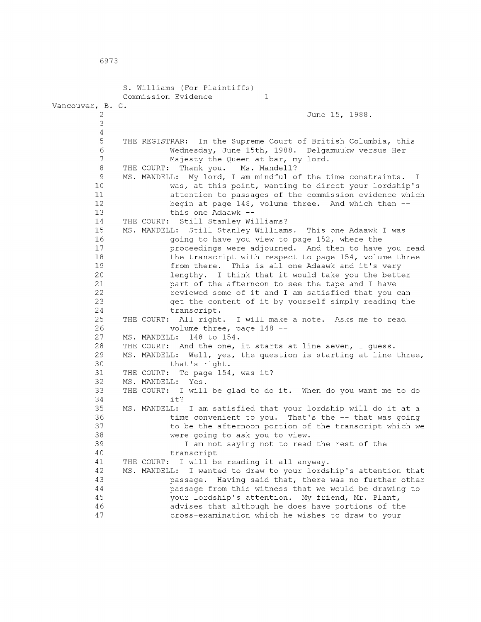```
S. Williams (For Plaintiffs) 
             Commission Evidence 1
Vancouver, B. C. 
         2 June 15, 1988. 
         3 
         4 
         5 THE REGISTRAR: In the Supreme Court of British Columbia, this 
         6 Wednesday, June 15th, 1988. Delgamuukw versus Her 
         7 Majesty the Queen at bar, my lord. 
         8 THE COURT: Thank you. Ms. Mandell?<br>9 MS. MANDELL: My lord, I am mindful o
        9 MS. MANDELL: My lord, I am mindful of the time constraints. I<br>10 was, at this point, wanting to direct your lordship's
                      was, at this point, wanting to direct your lordship's
        11 attention to passages of the commission evidence which 
        12 begin at page 148, volume three. And which then --
        13 this one Adaawk --<br>14 THE COURT: Still Stanley Wi
             THE COURT: Still Stanley Williams?
        15 MS. MANDELL: Still Stanley Williams. This one Adaawk I was 
        16 going to have you view to page 152, where the 
        17 proceedings were adjourned. And then to have you read 
        18 the transcript with respect to page 154, volume three
        19 from there. This is all one Adaawk and it's very 
        20 lengthy. I think that it would take you the better 
        21 part of the afternoon to see the tape and I have 
        22 reviewed some of it and I am satisfied that you can 
        23 get the content of it by yourself simply reading the 24
                      transcript.
        25 THE COURT: All right. I will make a note. Asks me to read 
        26 volume three, page 148 --
        27 MS. MANDELL: 148 to 154. 
        28 THE COURT: And the one, it starts at line seven, I guess.
        29 MS. MANDELL: Well, yes, the question is starting at line three, 
        30 that's right. 
        31 THE COURT: To page 154, was it? 
        32 MS. MANDELL: Yes. 
        33 THE COURT: I will be glad to do it. When do you want me to do 
        34 it? 
        35 MS. MANDELL: I am satisfied that your lordship will do it at a 
        36 time convenient to you. That's the -- that was going 
        37 to be the afternoon portion of the transcript which we 
        38 were going to ask you to view. 
        39 I am not saying not to read the rest of the 
        40 transcript --
        41 THE COURT: I will be reading it all anyway. 
        42 MS. MANDELL: I wanted to draw to your lordship's attention that 
        43 passage. Having said that, there was no further other 
        44 passage from this witness that we would be drawing to 
        45 your lordship's attention. My friend, Mr. Plant, 
        46 advises that although he does have portions of the 
        47 cross-examination which he wishes to draw to your
```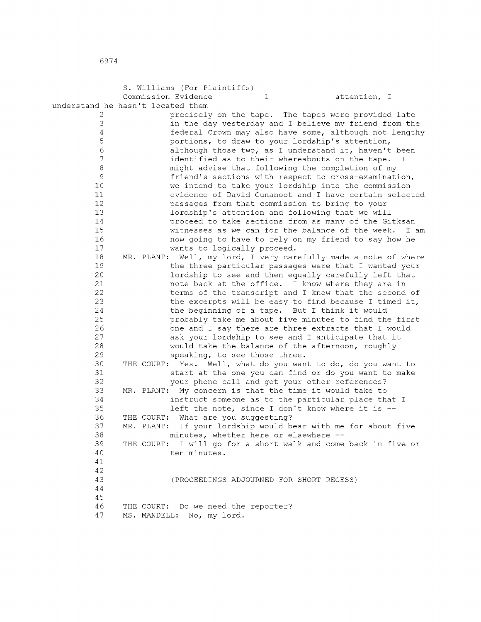|             | S. Williams (For Plaintiffs)                            |                                                                                                                  |
|-------------|---------------------------------------------------------|------------------------------------------------------------------------------------------------------------------|
|             | Commission Evidence                                     | $\mathbf{1}$<br>attention, I                                                                                     |
|             | understand he hasn't located them                       |                                                                                                                  |
| 2           |                                                         | precisely on the tape. The tapes were provided late                                                              |
| 3           |                                                         | in the day yesterday and I believe my friend from the                                                            |
| 4           |                                                         | federal Crown may also have some, although not lengthy                                                           |
| 5           |                                                         | portions, to draw to your lordship's attention,                                                                  |
| 6           |                                                         | although those two, as I understand it, haven't been                                                             |
| 7           |                                                         | identified as to their whereabouts on the tape.<br>$\mathbf{I}$                                                  |
| $\,8\,$     |                                                         | might advise that following the completion of my                                                                 |
| $\mathsf 9$ |                                                         | friend's sections with respect to cross-examination,                                                             |
| 10          |                                                         | we intend to take your lordship into the commission                                                              |
| 11          |                                                         | evidence of David Gunanoot and I have certain selected                                                           |
| 12          |                                                         | passages from that commission to bring to your                                                                   |
| 13          |                                                         | lordship's attention and following that we will                                                                  |
| 14<br>15    |                                                         | proceed to take sections from as many of the Gitksan                                                             |
| 16          |                                                         | witnesses as we can for the balance of the week.<br>I am<br>now going to have to rely on my friend to say how he |
| 17          | wants to logically proceed.                             |                                                                                                                  |
| 18          |                                                         | MR. PLANT: Well, my lord, I very carefully made a note of where                                                  |
| 19          |                                                         | the three particular passages were that I wanted your                                                            |
| 20          |                                                         | lordship to see and then equally carefully left that                                                             |
| 21          |                                                         | note back at the office. I know where they are in                                                                |
| 22          |                                                         | terms of the transcript and I know that the second of                                                            |
| 23          |                                                         | the excerpts will be easy to find because I timed it,                                                            |
| 24          |                                                         | the beginning of a tape. But I think it would                                                                    |
| 25          |                                                         | probably take me about five minutes to find the first                                                            |
| 26          |                                                         | one and I say there are three extracts that I would                                                              |
| 27          |                                                         | ask your lordship to see and I anticipate that it                                                                |
| 28          |                                                         | would take the balance of the afternoon, roughly                                                                 |
| 29          | speaking, to see those three.                           |                                                                                                                  |
| 30          | THE COURT:                                              | Yes. Well, what do you want to do, do you want to                                                                |
| 31          |                                                         | start at the one you can find or do you want to make                                                             |
| 32          |                                                         | your phone call and get your other references?                                                                   |
| 33          | MR. PLANT: My concern is that the time it would take to |                                                                                                                  |
| 34          |                                                         | instruct someone as to the particular place that I                                                               |
| 35          |                                                         | left the note, since I don't know where it is --                                                                 |
| 36          | THE COURT: What are you suggesting?                     |                                                                                                                  |
| 37          |                                                         | MR. PLANT: If your lordship would bear with me for about five                                                    |
| 38          | minutes, whether here or elsewhere --                   |                                                                                                                  |
| 39          |                                                         | THE COURT: I will go for a short walk and come back in five or                                                   |
| 40<br>41    | ten minutes.                                            |                                                                                                                  |
| 42          |                                                         |                                                                                                                  |
| 43          |                                                         | (PROCEEDINGS ADJOURNED FOR SHORT RECESS)                                                                         |
| 44          |                                                         |                                                                                                                  |
| 45          |                                                         |                                                                                                                  |
| 46          | THE COURT: Do we need the reporter?                     |                                                                                                                  |
| 47          | MS. MANDELL: No, my lord.                               |                                                                                                                  |
|             |                                                         |                                                                                                                  |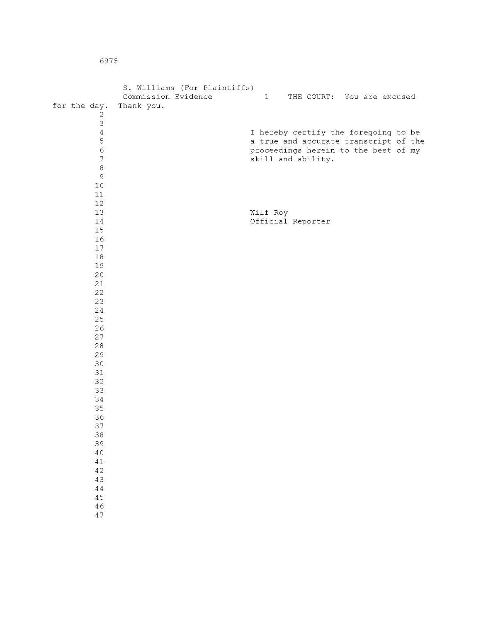|                          | S. Williams (For Plaintiffs) |                                       |
|--------------------------|------------------------------|---------------------------------------|
|                          | Commission Evidence          | $1 -$<br>THE COURT: You are excused   |
| for the day.             | Thank you.                   |                                       |
| $\mathbf{2}$             |                              |                                       |
| $\mathsf{3}$             |                              |                                       |
| $\sqrt{4}$               |                              | I hereby certify the foregoing to be  |
| $\frac{5}{6}$            |                              | a true and accurate transcript of the |
|                          |                              | proceedings herein to the best of my  |
| $\overline{\mathcal{L}}$ |                              | skill and ability.                    |
| $\,8\,$                  |                              |                                       |
| $\mathcal{G}$            |                              |                                       |
| $1\,0$                   |                              |                                       |
| $1\,1$                   |                              |                                       |
| $12\,$                   |                              |                                       |
| $13$                     |                              | Wilf Roy                              |
| $1\,4$                   |                              | Official Reporter                     |
| $15\,$                   |                              |                                       |
| 16                       |                              |                                       |
| $17\,$                   |                              |                                       |
| $1\,8$                   |                              |                                       |
| 19                       |                              |                                       |
| $2\,0$                   |                              |                                       |
| 21                       |                              |                                       |
| 22                       |                              |                                       |
| 23                       |                              |                                       |
| 24                       |                              |                                       |
| 25                       |                              |                                       |
| 26                       |                              |                                       |
| 27                       |                              |                                       |
| $2\,8$                   |                              |                                       |
| 29                       |                              |                                       |
| $30\,$                   |                              |                                       |
| 31                       |                              |                                       |
| 32                       |                              |                                       |
| 33                       |                              |                                       |
| 34                       |                              |                                       |
| 35                       |                              |                                       |
| 36                       |                              |                                       |
| 37<br>38                 |                              |                                       |
| 39                       |                              |                                       |
| 40                       |                              |                                       |
| $4\,1$                   |                              |                                       |
| 42                       |                              |                                       |
| 43                       |                              |                                       |
| $4\,4$                   |                              |                                       |
| 45                       |                              |                                       |
| 46                       |                              |                                       |
| 47                       |                              |                                       |
|                          |                              |                                       |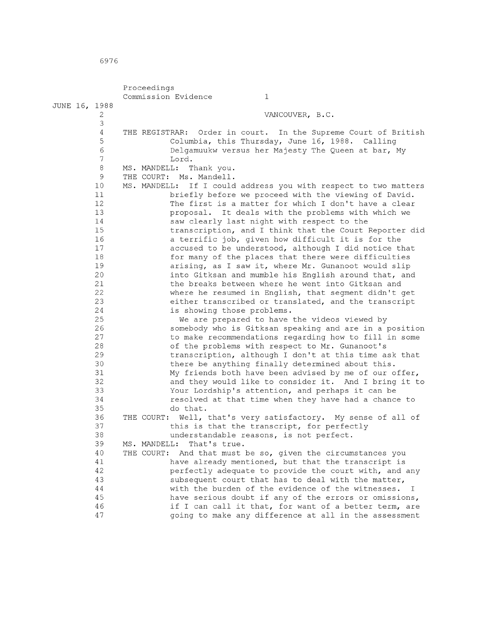|               |        | Proceedings                                                        |
|---------------|--------|--------------------------------------------------------------------|
|               |        | Commission Evidence<br>1                                           |
| JUNE 16, 1988 |        |                                                                    |
|               | 2      | VANCOUVER, B.C.                                                    |
|               | 3      |                                                                    |
|               | 4      | Order in court. In the Supreme Court of British<br>THE REGISTRAR:  |
|               | 5      | Columbia, this Thursday, June 16, 1988. Calling                    |
|               | 6      | Delgamuukw versus her Majesty The Queen at bar, My                 |
|               | 7      | Lord.                                                              |
|               | 8      | MS. MANDELL:<br>Thank you.                                         |
|               | 9      | Ms. Mandell.<br>THE COURT:                                         |
|               | 10     | MS. MANDELL:<br>If I could address you with respect to two matters |
|               | 11     | briefly before we proceed with the viewing of David.               |
|               | 12     | The first is a matter for which I don't have a clear               |
|               | 13     | proposal. It deals with the problems with which we                 |
|               | 14     | saw clearly last night with respect to the                         |
|               | $15\,$ | transcription, and I think that the Court Reporter did             |
|               | 16     | a terrific job, given how difficult it is for the                  |
|               | 17     | accused to be understood, although I did notice that               |
|               | 18     | for many of the places that there were difficulties                |
|               | 19     | arising, as I saw it, where Mr. Gunanoot would slip                |
|               | 20     | into Gitksan and mumble his English around that, and               |
|               | 21     | the breaks between where he went into Gitksan and                  |
|               | 22     | where he resumed in English, that segment didn't get               |
|               | 23     | either transcribed or translated, and the transcript               |
|               | 24     | is showing those problems.                                         |
|               | 25     | We are prepared to have the videos viewed by                       |
|               | 26     | somebody who is Gitksan speaking and are in a position             |
|               | 27     | to make recommendations regarding how to fill in some              |
|               | 28     | of the problems with respect to Mr. Gunanoot's                     |
|               | 29     | transcription, although I don't at this time ask that              |
|               | 30     | there be anything finally determined about this.                   |
|               | 31     | My friends both have been advised by me of our offer,              |
|               | 32     | and they would like to consider it. And I bring it to              |
|               | 33     | Your Lordship's attention, and perhaps it can be                   |
|               | 34     | resolved at that time when they have had a chance to               |
|               | 35     | do that.                                                           |
|               | 36     | Well, that's very satisfactory. My sense of all of<br>THE COURT:   |
|               | 37     | this is that the transcript, for perfectly                         |
|               | 38     | understandable reasons, is not perfect.                            |
|               | 39     | MS. MANDELL:<br>That's true.                                       |
|               | 40     | THE COURT: And that must be so, given the circumstances you        |
|               | 41     | have already mentioned, but that the transcript is                 |
|               | 42     | perfectly adequate to provide the court with, and any              |
|               | 43     | subsequent court that has to deal with the matter,                 |
|               | 44     | with the burden of the evidence of the witnesses.<br>I.            |
|               | 45     | have serious doubt if any of the errors or omissions,              |
|               | 46     | if I can call it that, for want of a better term, are              |
|               | 47     | going to make any difference at all in the assessment              |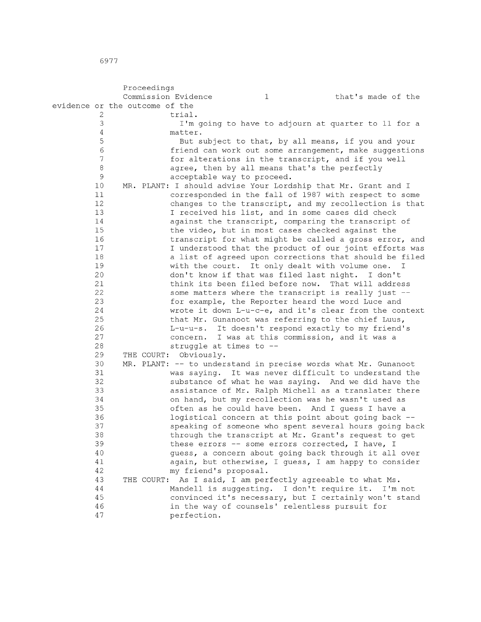Proceedings Commission Evidence 1 1 that's made of the evidence or the outcome of the  $2$  trial.<br>3  $I'm$ 3 I'm going to have to adjourn at quarter to 11 for a 4 matter.<br>5 But s 5 5 But subject to that, by all means, if you and your<br>6 6 Friend can work out some arrangement, make suggestio 6 friend can work out some arrangement, make suggestions<br>7 for alterations in the transcript, and if you well 7 for alterations in the transcript, and if you well<br>8 agree, then by all means that's the perfectly 8 agree, then by all means that's the perfectly<br>9 acceptable way to proceed. 9 acceptable way to proceed.<br>10 MR. PLANT: I should advise Your Lord MR. PLANT: I should advise Your Lordship that Mr. Grant and I 11 corresponded in the fall of 1987 with respect to some 12 changes to the transcript, and my recollection is that<br>13 1 received his list, and in some cases did check 13 I received his list, and in some cases did check<br>14 against the transcript, comparing the transcript against the transcript, comparing the transcript of 15 the video, but in most cases checked against the 16 transcript for what might be called a gross error, and 17 I understood that the product of our joint efforts was 18 a list of agreed upon corrections that should be filed 19 with the court. It only dealt with volume one. I 20 don't know if that was filed last night. I don't 21 think its been filed before now. That will address 22 some matters where the transcript is really just -- 23 for example, the Reporter heard the word Luce and 24 wrote it down L-u-c-e, and it's clear from the context 25 that Mr. Gunanoot was referring to the chief Luus, 26 L-u-u-s. It doesn't respond exactly to my friend's 27 concern. I was at this commission, and it was a 28 struggle at times to -- 29 THE COURT: Obviously. 30 MR. PLANT: -- to understand in precise words what Mr. Gunanoot 31 was saying. It was never difficult to understand the 32 substance of what he was saying. And we did have the 33 assistance of Mr. Ralph Michell as a translater there 34 on hand, but my recollection was he wasn't used as 35 often as he could have been. And I guess I have a 36 logistical concern at this point about going back -- 37 speaking of someone who spent several hours going back 38 through the transcript at Mr. Grant's request to get 39 these errors -- some errors corrected, I have, I 40 guess, a concern about going back through it all over 41 again, but otherwise, I guess, I am happy to consider 42 my friend's proposal. 43 THE COURT: As I said, I am perfectly agreeable to what Ms. 44 Mandell is suggesting. I don't require it. I'm not 45 convinced it's necessary, but I certainly won't stand 46 in the way of counsels' relentless pursuit for 47 perfection.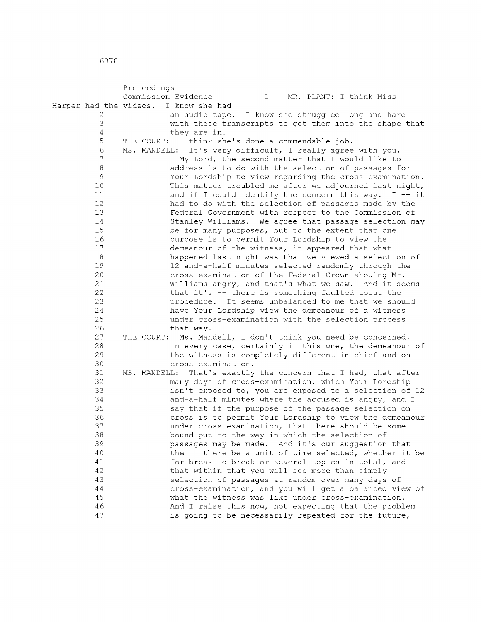|        | Proceedings                                                       |
|--------|-------------------------------------------------------------------|
|        | Commission Evidence<br>$1 -$<br>MR. PLANT: I think Miss           |
|        | Harper had the videos.<br>I know she had                          |
| 2      | an audio tape. I know she struggled long and hard                 |
| 3      | with these transcripts to get them into the shape that            |
| 4      | they are in.                                                      |
| 5      | THE COURT: I think she's done a commendable job.                  |
| 6      | MS. MANDELL: It's very difficult, I really agree with you.        |
| 7      | My Lord, the second matter that I would like to                   |
| 8      | address is to do with the selection of passages for               |
| 9      | Your Lordship to view regarding the cross-examination.            |
| 10     | This matter troubled me after we adjourned last night,            |
| 11     | and if I could identify the concern this way. I -- it             |
| 12     | had to do with the selection of passages made by the              |
| 13     | Federal Government with respect to the Commission of              |
| 14     | Stanley Williams. We agree that passage selection may             |
| 15     | be for many purposes, but to the extent that one                  |
| 16     | purpose is to permit Your Lordship to view the                    |
| $17\,$ | demeanour of the witness, it appeared that what                   |
| 18     | happened last night was that we viewed a selection of             |
| 19     | 12 and-a-half minutes selected randomly through the               |
| 20     | cross-examination of the Federal Crown showing Mr.                |
| 21     | Williams angry, and that's what we saw. And it seems              |
| 22     | that it's -- there is something faulted about the                 |
| 23     | procedure. It seems unbalanced to me that we should               |
| 24     | have Your Lordship view the demeanour of a witness                |
| 25     | under cross-examination with the selection process                |
| 26     | that way.                                                         |
| 27     | THE COURT: Ms. Mandell, I don't think you need be concerned.      |
| 28     | In every case, certainly in this one, the demeanour of            |
| 29     | the witness is completely different in chief and on               |
| 30     | cross-examination.                                                |
| 31     | That's exactly the concern that I had, that after<br>MS. MANDELL: |
| 32     | many days of cross-examination, which Your Lordship               |
| 33     | isn't exposed to, you are exposed to a selection of 12            |
| 34     | and-a-half minutes where the accused is angry, and I              |
| 35     | say that if the purpose of the passage selection on               |
| 36     | cross is to permit Your Lordship to view the demeanour            |
| 37     | under cross-examination, that there should be some                |
| 38     | bound put to the way in which the selection of                    |
| 39     | passages may be made. And it's our suggestion that                |
| 40     | the -- there be a unit of time selected, whether it be            |
| 41     | for break to break or several topics in total, and                |
| 42     | that within that you will see more than simply                    |
| 43     | selection of passages at random over many days of                 |
| 44     | cross-examination, and you will get a balanced view of            |
| 45     | what the witness was like under cross-examination.                |
| 46     | And I raise this now, not expecting that the problem              |
| 47     | is going to be necessarily repeated for the future,               |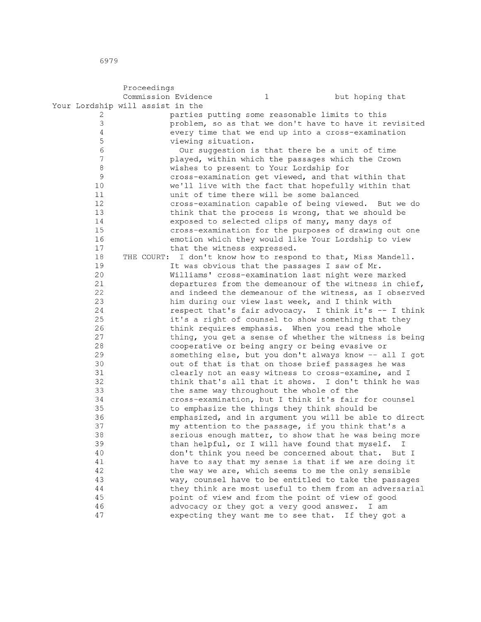|                                  | Proceedings |                     |                                        |             |                                                               |
|----------------------------------|-------------|---------------------|----------------------------------------|-------------|---------------------------------------------------------------|
|                                  |             | Commission Evidence |                                        | $\mathbf 1$ | but hoping that                                               |
| Your Lordship will assist in the |             |                     |                                        |             |                                                               |
| 2                                |             |                     |                                        |             | parties putting some reasonable limits to this                |
| 3                                |             |                     |                                        |             | problem, so as that we don't have to have it revisited        |
| $\overline{4}$                   |             |                     |                                        |             | every time that we end up into a cross-examination            |
| 5                                |             |                     | viewing situation.                     |             |                                                               |
| 6                                |             |                     |                                        |             | Our suggestion is that there be a unit of time                |
| 7                                |             |                     |                                        |             | played, within which the passages which the Crown             |
| 8                                |             |                     | wishes to present to Your Lordship for |             |                                                               |
| 9                                |             |                     |                                        |             | cross-examination get viewed, and that within that            |
| 10                               |             |                     |                                        |             | we'll live with the fact that hopefully within that           |
| 11                               |             |                     |                                        |             | unit of time there will be some balanced                      |
| 12                               |             |                     |                                        |             | cross-examination capable of being viewed.<br>But we do       |
| 13                               |             |                     |                                        |             | think that the process is wrong, that we should be            |
| 14                               |             |                     |                                        |             | exposed to selected clips of many, many days of               |
| 15                               |             |                     |                                        |             | cross-examination for the purposes of drawing out one         |
| 16                               |             |                     |                                        |             | emotion which they would like Your Lordship to view           |
| 17                               |             |                     | that the witness expressed.            |             |                                                               |
| 18                               |             |                     |                                        |             | THE COURT: I don't know how to respond to that, Miss Mandell. |
| 19                               |             |                     |                                        |             | It was obvious that the passages I saw of Mr.                 |
| 20                               |             |                     |                                        |             | Williams' cross-examination last night were marked            |
| 21                               |             |                     |                                        |             | departures from the demeanour of the witness in chief,        |
| 22                               |             |                     |                                        |             | and indeed the demeanour of the witness, as I observed        |
| 23                               |             |                     |                                        |             | him during our view last week, and I think with               |
| 24                               |             |                     |                                        |             | respect that's fair advocacy. I think it's -- I think         |
| 25                               |             |                     |                                        |             | it's a right of counsel to show something that they           |
| 26                               |             |                     |                                        |             | think requires emphasis. When you read the whole              |
| 27                               |             |                     |                                        |             | thing, you get a sense of whether the witness is being        |
| 28                               |             |                     |                                        |             | cooperative or being angry or being evasive or                |
| 29                               |             |                     |                                        |             | something else, but you don't always know -- all I got        |
| 30                               |             |                     |                                        |             | out of that is that on those brief passages he was            |
| 31                               |             |                     |                                        |             | clearly not an easy witness to cross-examine, and I           |
| 32                               |             |                     |                                        |             | think that's all that it shows. I don't think he was          |
| 33                               |             |                     |                                        |             | the same way throughout the whole of the                      |
| 34                               |             |                     |                                        |             | cross-examination, but I think it's fair for counsel          |
| 35                               |             |                     |                                        |             | to emphasize the things they think should be                  |
| 36                               |             |                     |                                        |             | emphasized, and in argument you will be able to direct        |
| 37                               |             |                     |                                        |             | my attention to the passage, if you think that's a            |
| 38                               |             |                     |                                        |             | serious enough matter, to show that he was being more         |
| 39                               |             |                     |                                        |             | than helpful, or I will have found that myself. I             |
| 40                               |             |                     |                                        |             | don't think you need be concerned about that. But I           |
| 41                               |             |                     |                                        |             | have to say that my sense is that if we are doing it          |
| 42                               |             |                     |                                        |             | the way we are, which seems to me the only sensible           |
| 43                               |             |                     |                                        |             | way, counsel have to be entitled to take the passages         |
| 44                               |             |                     |                                        |             | they think are most useful to them from an adversarial        |
| 45                               |             |                     |                                        |             | point of view and from the point of view of good              |
| 46                               |             |                     |                                        |             | advocacy or they got a very good answer.<br>I am              |
| 47                               |             |                     |                                        |             | expecting they want me to see that. If they got a             |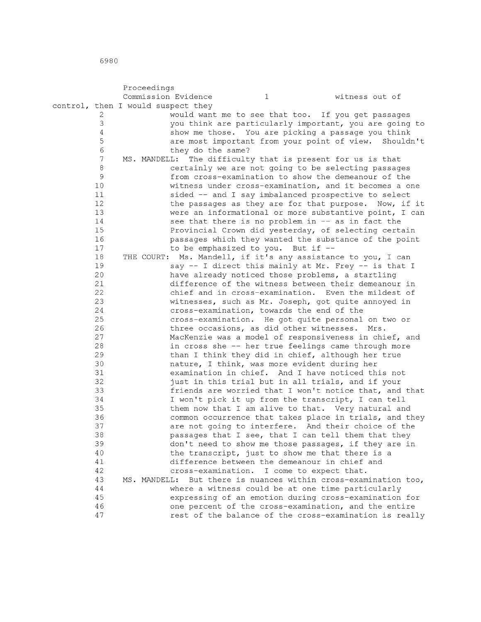|                | Proceedings  |                                    |                                           |                                                              |
|----------------|--------------|------------------------------------|-------------------------------------------|--------------------------------------------------------------|
|                |              | Commission Evidence                | $\mathbf 1$                               | witness out of                                               |
|                |              | control, then I would suspect they |                                           |                                                              |
| 2              |              |                                    |                                           | would want me to see that too. If you get passages           |
| 3              |              |                                    |                                           | you think are particularly important, you are going to       |
| $\overline{4}$ |              |                                    |                                           | show me those. You are picking a passage you think           |
| 5              |              |                                    |                                           | are most important from your point of view. Shouldn't        |
| 6              |              | they do the same?                  |                                           |                                                              |
| 7              | MS. MANDELL: |                                    |                                           | The difficulty that is present for us is that                |
| 8              |              |                                    |                                           | certainly we are not going to be selecting passages          |
| 9              |              |                                    |                                           | from cross-examination to show the demeanour of the          |
| 10             |              |                                    |                                           | witness under cross-examination, and it becomes a one        |
| 11             |              |                                    |                                           | sided -- and I say imbalanced prospective to select          |
| 12             |              |                                    |                                           | the passages as they are for that purpose. Now, if it        |
| 13             |              |                                    |                                           | were an informational or more substantive point, I can       |
| 14             |              |                                    |                                           | see that there is no problem in -- as in fact the            |
| 15             |              |                                    |                                           | Provincial Crown did yesterday, of selecting certain         |
| 16             |              |                                    |                                           | passages which they wanted the substance of the point        |
| 17             |              |                                    | to be emphasized to you. But if --        |                                                              |
| 18             |              |                                    |                                           | THE COURT: Ms. Mandell, if it's any assistance to you, I can |
| 19             |              |                                    |                                           | say -- I direct this mainly at Mr. Frey -- is that I         |
| 20             |              |                                    |                                           | have already noticed those problems, a startling             |
| 21             |              |                                    |                                           | difference of the witness between their demeanour in         |
| 22             |              |                                    |                                           | chief and in cross-examination. Even the mildest of          |
| 23             |              |                                    |                                           | witnesses, such as Mr. Joseph, got quite annoyed in          |
| 24             |              |                                    | cross-examination, towards the end of the |                                                              |
| 25             |              |                                    |                                           | cross-examination. He got quite personal on two or           |
| 26             |              |                                    |                                           | three occasions, as did other witnesses. Mrs.                |
| 27             |              |                                    |                                           | MacKenzie was a model of responsiveness in chief, and        |
| 28             |              |                                    |                                           | in cross she -- her true feelings came through more          |
| 29             |              |                                    |                                           | than I think they did in chief, although her true            |
| 30             |              |                                    |                                           | nature, I think, was more evident during her                 |
| 31             |              |                                    |                                           | examination in chief. And I have noticed this not            |
| 32             |              |                                    |                                           | just in this trial but in all trials, and if your            |
| 33             |              |                                    |                                           | friends are worried that I won't notice that, and that       |
| 34             |              |                                    |                                           | I won't pick it up from the transcript, I can tell           |
| 35             |              |                                    |                                           | them now that I am alive to that. Very natural and           |
| 36             |              |                                    |                                           | common occurrence that takes place in trials, and they       |
| 37             |              |                                    |                                           | are not going to interfere. And their choice of the          |
| 38             |              |                                    |                                           | passages that I see, that I can tell them that they          |
| 39             |              |                                    |                                           | don't need to show me those passages, if they are in         |
| 40             |              |                                    |                                           | the transcript, just to show me that there is a              |
| 41             |              |                                    |                                           | difference between the demeanour in chief and                |
| 42             |              | cross-examination.                 |                                           | I come to expect that.                                       |
| 43             | MS. MANDELL: |                                    |                                           | But there is nuances within cross-examination too,           |
| 44             |              |                                    |                                           | where a witness could be at one time particularly            |
| 45             |              |                                    |                                           |                                                              |
| 46             |              |                                    |                                           | expressing of an emotion during cross-examination for        |
|                |              |                                    |                                           | one percent of the cross-examination, and the entire         |
| 47             |              |                                    |                                           | rest of the balance of the cross-examination is really       |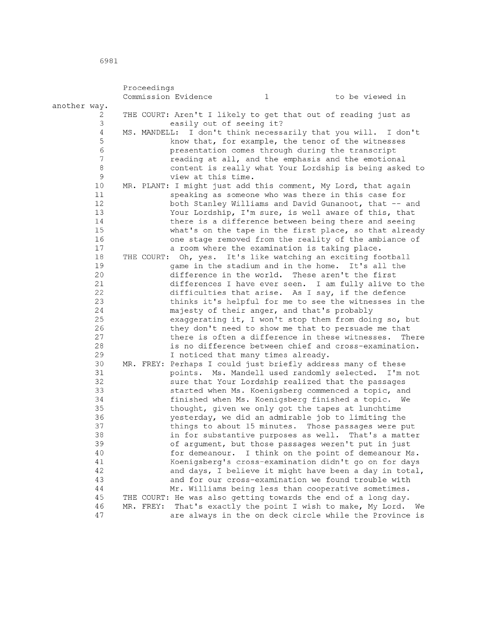|              |          | Proceedings  |                                                                                                           |              |                                                              |
|--------------|----------|--------------|-----------------------------------------------------------------------------------------------------------|--------------|--------------------------------------------------------------|
|              |          |              | Commission Evidence                                                                                       | $\mathbf{1}$ | to be viewed in                                              |
| another way. |          |              |                                                                                                           |              |                                                              |
|              | 2<br>3   |              | THE COURT: Aren't I likely to get that out of reading just as<br>easily out of seeing it?                 |              |                                                              |
|              | 4        | MS. MANDELL: |                                                                                                           |              | I don't think necessarily that you will. I don't             |
|              | 5        |              | know that, for example, the tenor of the witnesses                                                        |              |                                                              |
|              | 6        |              | presentation comes through during the transcript                                                          |              |                                                              |
|              | 7        |              | reading at all, and the emphasis and the emotional                                                        |              |                                                              |
|              | $\,8\,$  |              |                                                                                                           |              | content is really what Your Lordship is being asked to       |
|              | 9        |              | view at this time.                                                                                        |              |                                                              |
|              | 10       |              | MR. PLANT: I might just add this comment, My Lord, that again                                             |              |                                                              |
|              | 11       |              | speaking as someone who was there in this case for                                                        |              |                                                              |
|              | 12       |              | both Stanley Williams and David Gunanoot, that -- and                                                     |              |                                                              |
|              | 13       |              | Your Lordship, I'm sure, is well aware of this, that                                                      |              |                                                              |
|              | 14       |              | there is a difference between being there and seeing                                                      |              |                                                              |
|              | 15       |              |                                                                                                           |              | what's on the tape in the first place, so that already       |
|              | 16<br>17 |              | one stage removed from the reality of the ambiance of<br>a room where the examination is taking place.    |              |                                                              |
|              | $1\,8$   |              | THE COURT: Oh, yes. It's like watching an exciting football                                               |              |                                                              |
|              | 19       |              | game in the stadium and in the home. It's all the                                                         |              |                                                              |
|              | 20       |              | difference in the world. These aren't the first                                                           |              |                                                              |
|              | 21       |              |                                                                                                           |              | differences I have ever seen. I am fully alive to the        |
|              | 22       |              | difficulties that arise. As I say, if the defence                                                         |              |                                                              |
|              | 23       |              |                                                                                                           |              | thinks it's helpful for me to see the witnesses in the       |
|              | 24       |              | majesty of their anger, and that's probably                                                               |              |                                                              |
|              | 25       |              | exaggerating it, I won't stop them from doing so, but                                                     |              |                                                              |
|              | 26       |              | they don't need to show me that to persuade me that                                                       |              |                                                              |
|              | 27       |              | there is often a difference in these witnesses.                                                           |              | There                                                        |
|              | 28       |              | is no difference between chief and cross-examination.                                                     |              |                                                              |
|              | 29       |              | I noticed that many times already.                                                                        |              |                                                              |
|              | 30       |              | MR. FREY: Perhaps I could just briefly address many of these                                              |              |                                                              |
|              | 31<br>32 |              | points. Ms. Mandell used randomly selected. I'm not<br>sure that Your Lordship realized that the passages |              |                                                              |
|              | 33       |              | started when Ms. Koenigsberg commenced a topic, and                                                       |              |                                                              |
|              | 34       |              | finished when Ms. Koenigsberg finished a topic. We                                                        |              |                                                              |
|              | 35       |              | thought, given we only got the tapes at lunchtime                                                         |              |                                                              |
|              | 36       |              | yesterday, we did an admirable job to limiting the                                                        |              |                                                              |
|              | 37       |              | things to about 15 minutes. Those passages were put                                                       |              |                                                              |
|              | 38       |              | in for substantive purposes as well. That's a matter                                                      |              |                                                              |
|              | 39       |              | of argument, but those passages weren't put in just                                                       |              |                                                              |
|              | 40       |              | for demeanour. I think on the point of demeanour Ms.                                                      |              |                                                              |
|              | 41       |              | Koenigsberg's cross-examination didn't go on for days                                                     |              |                                                              |
|              | 42       |              |                                                                                                           |              | and days, I believe it might have been a day in total,       |
|              | 43       |              | and for our cross-examination we found trouble with                                                       |              |                                                              |
|              | 44       |              | Mr. Williams being less than cooperative sometimes.                                                       |              |                                                              |
|              | 45       |              | THE COURT: He was also getting towards the end of a long day.                                             |              |                                                              |
|              | 46<br>47 | MR. FREY:    | That's exactly the point I wish to make, My Lord.                                                         |              | We<br>are always in the on deck circle while the Province is |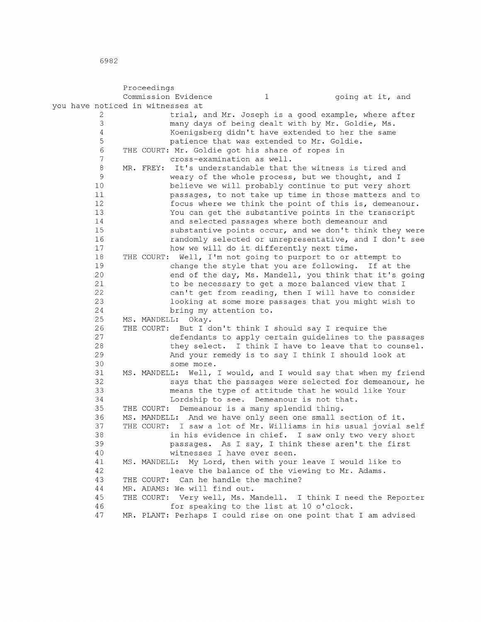|    | Proceedings                      |       |                                                 |                                                                |  |
|----|----------------------------------|-------|-------------------------------------------------|----------------------------------------------------------------|--|
|    | Commission Evidence              |       | $\mathbf 1$                                     | going at it, and                                               |  |
|    | you have noticed in witnesses at |       |                                                 |                                                                |  |
| 2  |                                  |       |                                                 | trial, and Mr. Joseph is a good example, where after           |  |
| 3  |                                  |       |                                                 | many days of being dealt with by Mr. Goldie, Ms.               |  |
| 4  |                                  |       |                                                 | Koenigsberg didn't have extended to her the same               |  |
| 5  |                                  |       |                                                 | patience that was extended to Mr. Goldie.                      |  |
| 6  |                                  |       | THE COURT: Mr. Goldie got his share of ropes in |                                                                |  |
| 7  |                                  |       | cross-examination as well.                      |                                                                |  |
| 8  | MR. FREY:                        |       |                                                 | It's understandable that the witness is tired and              |  |
| 9  |                                  |       |                                                 | weary of the whole process, but we thought, and I              |  |
| 10 |                                  |       |                                                 | believe we will probably continue to put very short            |  |
| 11 |                                  |       |                                                 | passages, to not take up time in those matters and to          |  |
| 12 |                                  |       |                                                 | focus where we think the point of this is, demeanour.          |  |
| 13 |                                  |       |                                                 | You can get the substantive points in the transcript           |  |
| 14 |                                  |       |                                                 | and selected passages where both demeanour and                 |  |
| 15 |                                  |       |                                                 | substantive points occur, and we don't think they were         |  |
| 16 |                                  |       |                                                 | randomly selected or unrepresentative, and I don't see         |  |
| 17 |                                  |       | how we will do it differently next time.        |                                                                |  |
| 18 | THE COURT:                       |       |                                                 | Well, I'm not going to purport to or attempt to                |  |
| 19 |                                  |       |                                                 | change the style that you are following.<br>If at the          |  |
| 20 |                                  |       |                                                 | end of the day, Ms. Mandell, you think that it's going         |  |
| 21 |                                  |       |                                                 | to be necessary to get a more balanced view that I             |  |
| 22 |                                  |       |                                                 | can't get from reading, then I will have to consider           |  |
| 23 |                                  |       |                                                 | looking at some more passages that you might wish to           |  |
| 24 |                                  |       | bring my attention to.                          |                                                                |  |
| 25 | MS. MANDELL:                     | Okay. |                                                 |                                                                |  |
| 26 | THE COURT:                       |       |                                                 | But I don't think I should say I require the                   |  |
| 27 |                                  |       |                                                 | defendants to apply certain quidelines to the passages         |  |
| 28 |                                  |       |                                                 | they select. I think I have to leave that to counsel.          |  |
| 29 |                                  |       |                                                 | And your remedy is to say I think I should look at             |  |
| 30 | some more.                       |       |                                                 |                                                                |  |
| 31 | MS. MANDELL:                     |       |                                                 | Well, I would, and I would say that when my friend             |  |
| 32 |                                  |       |                                                 | says that the passages were selected for demeanour, he         |  |
| 33 |                                  |       |                                                 | means the type of attitude that he would like Your             |  |
| 34 |                                  |       | Lordship to see. Demeanour is not that.         |                                                                |  |
| 35 | THE COURT:                       |       | Demeanour is a many splendid thing.             |                                                                |  |
| 36 | MS. MANDELL:                     |       |                                                 | And we have only seen one small section of it.                 |  |
| 37 | THE COURT:                       |       |                                                 | I saw a lot of Mr. Williams in his usual jovial self           |  |
| 38 |                                  |       |                                                 | in his evidence in chief. I saw only two very short            |  |
| 39 |                                  |       |                                                 | passages. As I say, I think these aren't the first             |  |
| 40 |                                  |       | witnesses I have ever seen.                     |                                                                |  |
| 41 |                                  |       |                                                 | MS. MANDELL: My Lord, then with your leave I would like to     |  |
| 42 |                                  |       |                                                 | leave the balance of the viewing to Mr. Adams.                 |  |
| 43 |                                  |       | THE COURT: Can he handle the machine?           |                                                                |  |
| 44 | MR. ADAMS: We will find out.     |       |                                                 |                                                                |  |
| 45 |                                  |       |                                                 | THE COURT: Very well, Ms. Mandell. I think I need the Reporter |  |
| 46 |                                  |       | for speaking to the list at 10 o'clock.         |                                                                |  |
| 47 |                                  |       |                                                 | MR. PLANT: Perhaps I could rise on one point that I am advised |  |
|    |                                  |       |                                                 |                                                                |  |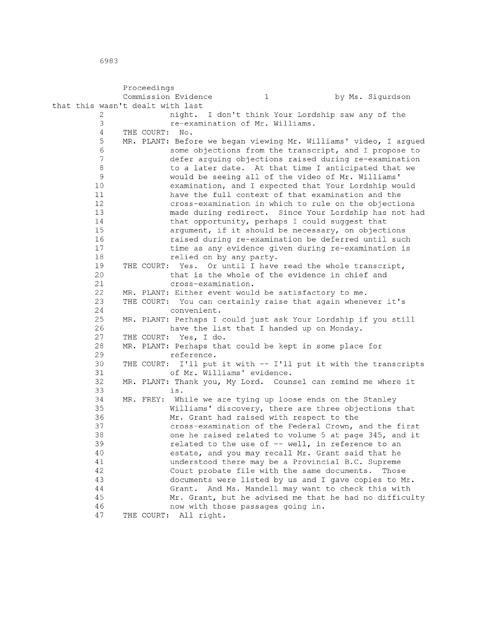by Ms. Sigurdson that this wasn't dealt with last 2 3 4 5 6 7 8 9 10 11 12 13 14 15 16 17 18 19 20 21 22 23 24 25 26 27 28 29 30 31 32 33 34 35 36 37 38 39 40 41 42 43 44 45 46 47 THE COURT: No. MR. PLANT: Before we began viewing Mr. Williams' video, I argued THE COURT: Yes. Or until I have read the whole transcript, MR. PLANT: Either event would be satisfactory to me. THE COURT: You can certainly raise that again whenever it's MR. PLANT: Perhaps I could just ask Your Lordship if you still THE COURT: Yes, I do. MR. PLANT: Perhaps that could be kept in some place for THE COURT: I'll put it with -- I'll put it with the transcripts MR. PLANT: Thank you, My Lord. Counsel can remind me where it MR. FREY: While we are tying up loose ends on the Stanley THE COURT: All right. Proceedings Commission Evidence 1 night. I don't think Your Lordship saw any of the re-examination of Mr. Williams. some objections from the transcript, and I propose to defer arguing objections raised during re-examination to a later date. At that time I anticipated that we would be seeing all of the video of Mr. Williams' examination, and I expected that Your Lordship would have the full context of that examination and the cross-examination in which to rule on the objections made during redirect. Since Your Lordship has not had that opportunity, perhaps I could suggest that argument, if it should be necessary, on objections raised during re-examination be deferred until such time as any evidence given during re-examination is relied on by any party. that is the whole of the evidence in chief and cross-examination. convenient. have the list that I handed up on Monday. reference. of Mr. Williams' evidence. is . Williams' discovery, there are three objections that Mr. Grant had raised with respect to the cross-examination of the Federal Crown, and the first one he raised related to volume 5 at page 345, and it related to the use of -- well, in reference to an estate, and you may recall Mr. Grant said that he understood there may be a Provincial B.C. Supreme Court probate file with the same documents. Those documents were listed by us and I gave copies to Mr. Grant. And Ms. Mandell may want to check this with Mr. Grant, but he advised me that he had no difficulty now with those passages going in.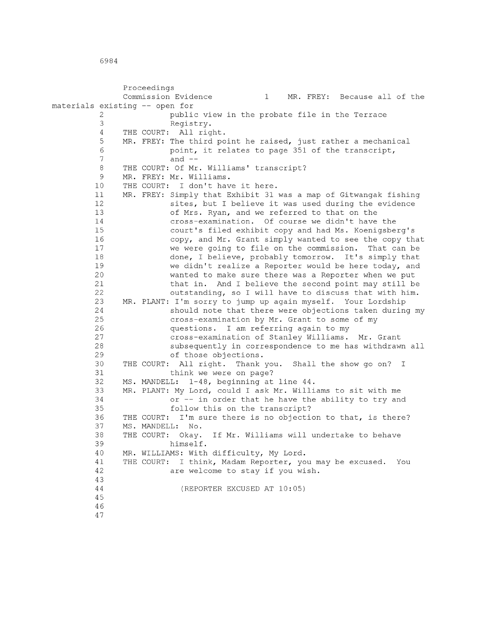Proceedings Commission Evidence 1 MR. FREY: Because all of the materials existing -- open for 2 public view in the probate file in the Terrace 3 Registry. 4 THE COURT: All right. 5 MR. FREY: The third point he raised, just rather a mechanical 6 point, it relates to page 351 of the transcript, 7 and -- 8 THE COURT: Of Mr. Williams' transcript? 9 MR. FREY: Mr. Williams. 10 THE COURT: I don't have it here. 11 MR. FREY: Simply that Exhibit 31 was a map of Gitwangak fishing 12 sites, but I believe it was used during the evidence<br>13 of Mrs. Ryan, and we referred to that on the 13 of Mrs. Ryan, and we referred to that on the<br>14 cross-examination. Of course we didn't have cross-examination. Of course we didn't have the 15 court's filed exhibit copy and had Ms. Koenigsberg's 16 copy, and Mr. Grant simply wanted to see the copy that 17 we were going to file on the commission. That can be 18 done, I believe, probably tomorrow. It's simply that 19 we didn't realize a Reporter would be here today, and 20 wanted to make sure there was a Reporter when we put 21 that in. And I believe the second point may still be 22 outstanding, so I will have to discuss that with him. 23 MR. PLANT: I'm sorry to jump up again myself. Your Lordship 24 should note that there were objections taken during my 25 cross-examination by Mr. Grant to some of my 26 questions. I am referring again to my 27 cross-examination of Stanley Williams. Mr. Grant 28 subsequently in correspondence to me has withdrawn all 29 of those objections. 30 THE COURT: All right. Thank you. Shall the show go on? I 31 think we were on page? 32 MS. MANDELL: 1-48, beginning at line 44. 33 MR. PLANT: My Lord, could I ask Mr. Williams to sit with me 34 or -- in order that he have the ability to try and 35 follow this on the transcript? 36 THE COURT: I'm sure there is no objection to that, is there? 37 MS. MANDELL: No. 38 THE COURT: Okay. If Mr. Williams will undertake to behave 39 himself. 40 MR. WILLIAMS: With difficulty, My Lord. 41 THE COURT: I think, Madam Reporter, you may be excused. You 42 are welcome to stay if you wish. 43 44 (REPORTER EXCUSED AT 10:05) 45 46 47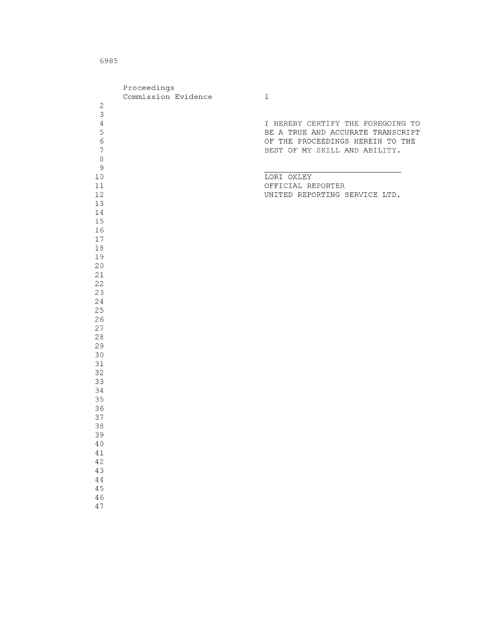|             | Proceedings         |                                   |
|-------------|---------------------|-----------------------------------|
|             | Commission Evidence | $\mathbf{1}$                      |
| 2           |                     |                                   |
| 3           |                     |                                   |
| $\sqrt{4}$  |                     | I HEREBY CERTIFY THE FOREGOING TO |
| 5           |                     | BE A TRUE AND ACCURATE TRANSCRIPT |
| $\epsilon$  |                     | OF THE PROCEEDINGS HEREIN TO THE  |
| $\sqrt{ }$  |                     | BEST OF MY SKILL AND ABILITY.     |
| $\,8\,$     |                     |                                   |
|             |                     |                                   |
| 9           |                     |                                   |
| 10          |                     | LORI OXLEY                        |
| $1\,1$      |                     | OFFICIAL REPORTER                 |
| 12          |                     | UNITED REPORTING SERVICE LTD.     |
| 13          |                     |                                   |
| 14          |                     |                                   |
| 15          |                     |                                   |
| 16          |                     |                                   |
| $17$        |                     |                                   |
| 18          |                     |                                   |
| 19          |                     |                                   |
| 20          |                     |                                   |
| 21          |                     |                                   |
| 22          |                     |                                   |
| 23          |                     |                                   |
| $2\sqrt{4}$ |                     |                                   |
| 25          |                     |                                   |
| 26          |                     |                                   |
| $2\,7$      |                     |                                   |
| 28          |                     |                                   |
| 29          |                     |                                   |
| 30          |                     |                                   |
| 31          |                     |                                   |
| 32          |                     |                                   |
| 33          |                     |                                   |
| 34          |                     |                                   |
| 35          |                     |                                   |
|             |                     |                                   |
| 36          |                     |                                   |
| 37          |                     |                                   |
| 38          |                     |                                   |
| 39          |                     |                                   |
| 40          |                     |                                   |
| $4\,1$      |                     |                                   |
| 42          |                     |                                   |
| 43          |                     |                                   |
| $4\,4$      |                     |                                   |
| 45          |                     |                                   |
| 46          |                     |                                   |
| 47          |                     |                                   |
|             |                     |                                   |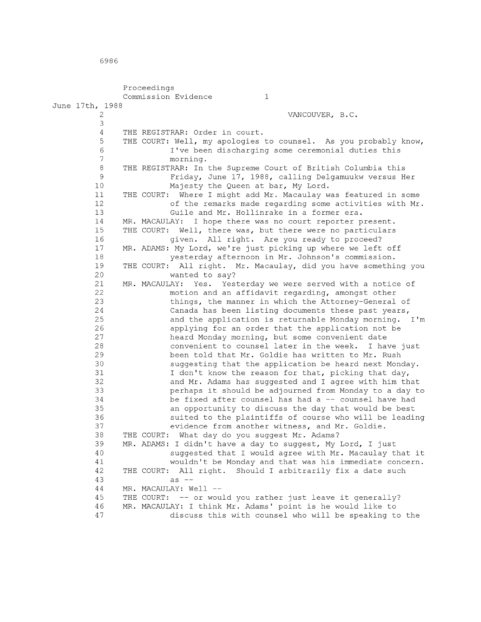|                 | Proceedings                                                        |
|-----------------|--------------------------------------------------------------------|
|                 | Commission Evidence<br>1                                           |
| June 17th, 1988 |                                                                    |
| 2               | VANCOUVER, B.C.                                                    |
| 3               |                                                                    |
| 4               | THE REGISTRAR: Order in court.                                     |
| 5               | THE COURT: Well, my apologies to counsel. As you probably know,    |
| 6               | I've been discharging some ceremonial duties this                  |
| 7               | morning.                                                           |
| 8               | THE REGISTRAR: In the Supreme Court of British Columbia this       |
| 9               | Friday, June 17, 1988, calling Delgamuukw versus Her               |
| 10              | Majesty the Queen at bar, My Lord.                                 |
| 11              | THE COURT: Where I might add Mr. Macaulay was featured in some     |
| 12              | of the remarks made regarding some activities with Mr.             |
| 13              | Guile and Mr. Hollinrake in a former era.                          |
| 14              | MR. MACAULAY: I hope there was no court reporter present.          |
| 15              | THE COURT: Well, there was, but there were no particulars          |
| 16              | given. All right. Are you ready to proceed?                        |
| 17              | MR. ADAMS: My Lord, we're just picking up where we left off        |
| 18              | yesterday afternoon in Mr. Johnson's commission.                   |
| 19              | THE COURT: All right. Mr. Macaulay, did you have something you     |
| 20              | wanted to say?                                                     |
| 21              | MR. MACAULAY:<br>Yes.<br>Yesterday we were served with a notice of |
| 22              | motion and an affidavit regarding, amongst other                   |
| 23              | things, the manner in which the Attorney-General of                |
| 24              | Canada has been listing documents these past years,                |
| 25              | and the application is returnable Monday morning. I'm              |
| 26              | applying for an order that the application not be                  |
| 27              | heard Monday morning, but some convenient date                     |
| 28              | convenient to counsel later in the week.<br>I have just            |
| 29              | been told that Mr. Goldie has written to Mr. Rush                  |
| 30              | suggesting that the application be heard next Monday.              |
| 31              | I don't know the reason for that, picking that day,                |
| 32              | and Mr. Adams has suggested and I agree with him that              |
| 33              | perhaps it should be adjourned from Monday to a day to             |
| 34              | be fixed after counsel has had a -- counsel have had               |
| 35              | an opportunity to discuss the day that would be best               |
| 36              | suited to the plaintiffs of course who will be leading             |
| 37              | evidence from another witness, and Mr. Goldie.                     |
| 38              | What day do you suggest Mr. Adams?<br>THE COURT:                   |
| 39              | MR. ADAMS: I didn't have a day to suggest, My Lord, I just         |
| 40              | suggested that I would agree with Mr. Macaulay that it             |
| 41              | wouldn't be Monday and that was his immediate concern.             |
| 42              | THE COURT: All right.<br>Should I arbitrarily fix a date such      |
| 43              | $as$ $--$                                                          |
| 44              | MR. MACAULAY: Well --                                              |
| 45              | THE COURT: -- or would you rather just leave it generally?         |
| 46              | MR. MACAULAY: I think Mr. Adams' point is he would like to         |
| 47              | discuss this with counsel who will be speaking to the              |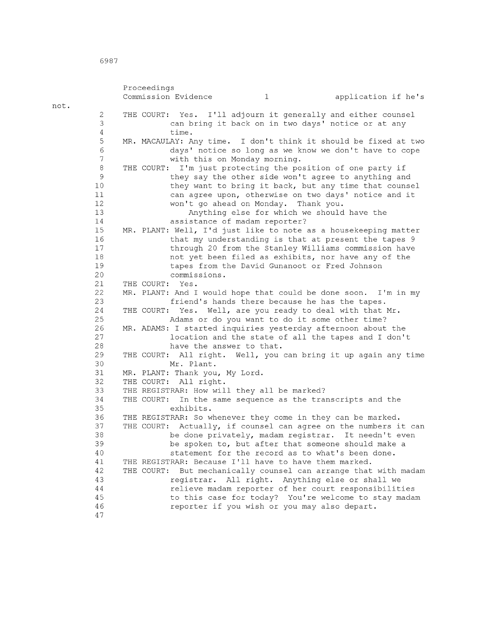|                | Proceedings                                                  |                                                                 |
|----------------|--------------------------------------------------------------|-----------------------------------------------------------------|
|                | Commission Evidence<br>$\mathbf{1}$                          | application if he's                                             |
| not.           |                                                              |                                                                 |
| 2              | THE COURT: Yes. I'll adjourn it generally and either counsel |                                                                 |
| 3              |                                                              | can bring it back on in two days' notice or at any              |
| 4              | time.                                                        |                                                                 |
| 5              |                                                              | MR. MACAULAY: Any time. I don't think it should be fixed at two |
| 6              |                                                              | days' notice so long as we know we don't have to cope           |
| $\overline{7}$ | with this on Monday morning.                                 |                                                                 |
| 8              | THE COURT: I'm just protecting the position of one party if  |                                                                 |
| 9              |                                                              | they say the other side won't agree to anything and             |
| 10             |                                                              | they want to bring it back, but any time that counsel           |
| 11             |                                                              | can agree upon, otherwise on two days' notice and it            |
| 12             | won't go ahead on Monday. Thank you.                         |                                                                 |
| 13             |                                                              | Anything else for which we should have the                      |
| 14             | assistance of madam reporter?                                |                                                                 |
| 15             |                                                              | MR. PLANT: Well, I'd just like to note as a housekeeping matter |
| 16             |                                                              | that my understanding is that at present the tapes 9            |
| 17             |                                                              | through 20 from the Stanley Williams commission have            |
| 18             |                                                              | not yet been filed as exhibits, nor have any of the             |
| 19             |                                                              | tapes from the David Gunanoot or Fred Johnson                   |
| 20             | commissions.                                                 |                                                                 |
| 21             | THE COURT: Yes.                                              |                                                                 |
| 22             |                                                              | MR. PLANT: And I would hope that could be done soon. I'm in my  |
| 23             |                                                              | friend's hands there because he has the tapes.                  |
| 24             | THE COURT: Yes. Well, are you ready to deal with that Mr.    |                                                                 |
| 25             |                                                              | Adams or do you want to do it some other time?                  |
| 26             | MR. ADAMS: I started inquiries yesterday afternoon about the |                                                                 |
| 27             |                                                              | location and the state of all the tapes and I don't             |
| 28             | have the answer to that.                                     |                                                                 |
| 29             |                                                              | THE COURT: All right. Well, you can bring it up again any time  |
| 30             | Mr. Plant.                                                   |                                                                 |
| 31             | MR. PLANT: Thank you, My Lord.                               |                                                                 |
| 32             | THE COURT: All right.                                        |                                                                 |
| 33             | THE REGISTRAR: How will they all be marked?                  |                                                                 |
| 34             | THE COURT: In the same sequence as the transcripts and the   |                                                                 |
| 35             | exhibits.                                                    |                                                                 |
| 36             | THE REGISTRAR: So whenever they come in they can be marked.  |                                                                 |
| 37             |                                                              | THE COURT: Actually, if counsel can agree on the numbers it can |
| 38             |                                                              | be done privately, madam registrar. It needn't even             |
| 39             |                                                              | be spoken to, but after that someone should make a              |
| 40             |                                                              | statement for the record as to what's been done.                |
| 41             | THE REGISTRAR: Because I'll have to have them marked.        |                                                                 |
| 42             |                                                              | THE COURT: But mechanically counsel can arrange that with madam |
| 43             |                                                              | registrar. All right. Anything else or shall we                 |
| 44             |                                                              | relieve madam reporter of her court responsibilities            |
| 45             |                                                              | to this case for today? You're welcome to stay madam            |
| 46             |                                                              | reporter if you wish or you may also depart.                    |
| 47             |                                                              |                                                                 |